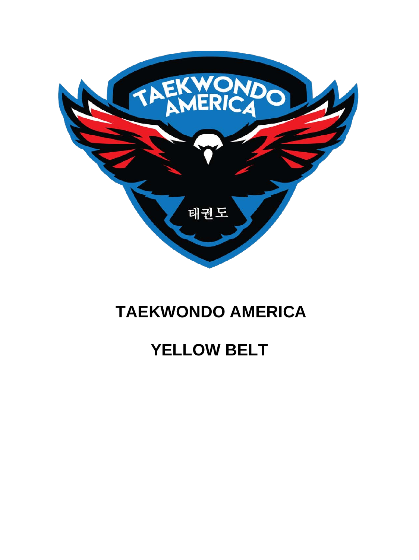

### **TAEKWONDO AMERICA**

## **YELLOW BELT**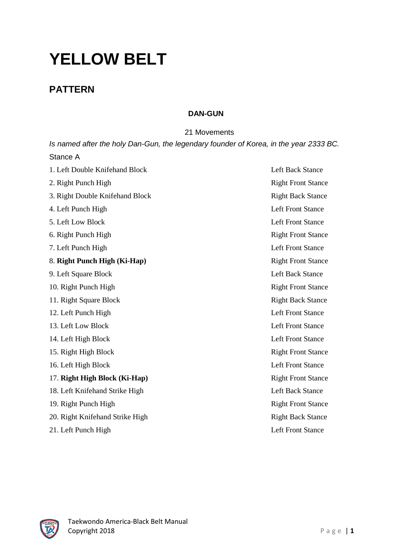# **YELLOW BELT**

### **PATTERN**

#### **DAN-GUN**

21 Movements

| Is named after the holy Dan-Gun, the legendary founder of Korea, in the year 2333 BC. |                           |
|---------------------------------------------------------------------------------------|---------------------------|
| Stance A                                                                              |                           |
| 1. Left Double Knifehand Block                                                        | <b>Left Back Stance</b>   |
| 2. Right Punch High                                                                   | <b>Right Front Stance</b> |
| 3. Right Double Knifehand Block                                                       | <b>Right Back Stance</b>  |
| 4. Left Punch High                                                                    | <b>Left Front Stance</b>  |
| 5. Left Low Block                                                                     | <b>Left Front Stance</b>  |
| 6. Right Punch High                                                                   | <b>Right Front Stance</b> |
| 7. Left Punch High                                                                    | <b>Left Front Stance</b>  |
| 8. Right Punch High (Ki-Hap)                                                          | <b>Right Front Stance</b> |
| 9. Left Square Block                                                                  | <b>Left Back Stance</b>   |
| 10. Right Punch High                                                                  | <b>Right Front Stance</b> |
| 11. Right Square Block                                                                | <b>Right Back Stance</b>  |
| 12. Left Punch High                                                                   | <b>Left Front Stance</b>  |
| 13. Left Low Block                                                                    | <b>Left Front Stance</b>  |
| 14. Left High Block                                                                   | <b>Left Front Stance</b>  |
| 15. Right High Block                                                                  | <b>Right Front Stance</b> |
| 16. Left High Block                                                                   | <b>Left Front Stance</b>  |
| 17. Right High Block (Ki-Hap)                                                         | <b>Right Front Stance</b> |
| 18. Left Knifehand Strike High                                                        | <b>Left Back Stance</b>   |
| 19. Right Punch High                                                                  | <b>Right Front Stance</b> |
| 20. Right Knifehand Strike High                                                       | <b>Right Back Stance</b>  |
| 21. Left Punch High                                                                   | <b>Left Front Stance</b>  |